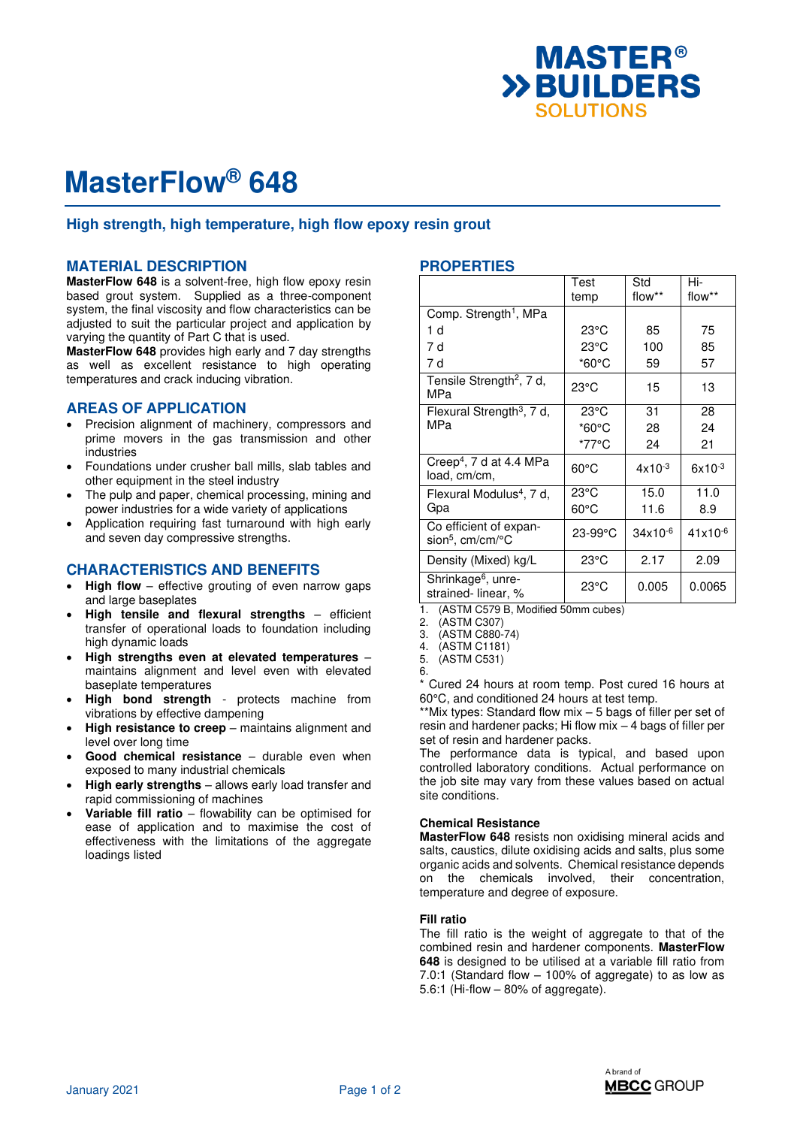

# **MasterFlow® 648**

# **High strength, high temperature, high flow epoxy resin grout**

## **MATERIAL DESCRIPTION**

**MasterFlow 648** is a solvent-free, high flow epoxy resin based grout system. Supplied as a three-component system, the final viscosity and flow characteristics can be adjusted to suit the particular project and application by varying the quantity of Part C that is used.

**MasterFlow 648** provides high early and 7 day strengths as well as excellent resistance to high operating temperatures and crack inducing vibration.

# **AREAS OF APPLICATION**

- Precision alignment of machinery, compressors and prime movers in the gas transmission and other industries
- Foundations under crusher ball mills, slab tables and other equipment in the steel industry
- The pulp and paper, chemical processing, mining and power industries for a wide variety of applications
- Application requiring fast turnaround with high early and seven day compressive strengths.

# **CHARACTERISTICS AND BENEFITS**

- **High flow** effective grouting of even narrow gaps and large baseplates
- **High tensile and flexural strengths** efficient transfer of operational loads to foundation including high dynamic loads
- **High strengths even at elevated temperatures** maintains alignment and level even with elevated baseplate temperatures
- **High bond strength** protects machine from vibrations by effective dampening
- **High resistance to creep** maintains alignment and level over long time
- Good chemical resistance durable even when exposed to many industrial chemicals
- **High early strengths** allows early load transfer and rapid commissioning of machines
- **Variable fill ratio** flowability can be optimised for ease of application and to maximise the cost of effectiveness with the limitations of the aggregate loadings listed

# **PROPERTIES**

|                                                        | Test<br>temp    | Std<br>flow** | Hi-<br>flow** |
|--------------------------------------------------------|-----------------|---------------|---------------|
| Comp. Strength <sup>1</sup> , MPa                      |                 |               |               |
| 1 d                                                    | $23^{\circ}$ C  | 85            | 75            |
| 7 d                                                    | $23^{\circ}$ C  | 100           | 85            |
| 7 d                                                    | $*60^{\circ}$ C | 59            | 57            |
| Tensile Strength <sup>2</sup> , 7 d,<br>MPa            | $23^{\circ}$ C  | 15            | 13            |
| Flexural Strength <sup>3</sup> , 7 d,                  | $23^{\circ}$ C  | 31            | 28            |
| MPa                                                    | $*60^{\circ}$ C | 28            | 24            |
|                                                        | *77°C           | 24            | 21            |
| Creep <sup>4</sup> , 7 d at 4.4 MPa<br>load, cm/cm,    | $60^{\circ}$ C  | $4x10^{-3}$   | $6x10^{-3}$   |
| Flexural Modulus <sup>4</sup> , 7 d,                   | $23^{\circ}$ C  | 15.0          | 11.0          |
| Gpa                                                    | $60^{\circ}$ C  | 11.6          | 8.9           |
| Co efficient of expan-<br>sion <sup>5</sup> , cm/cm/°C | 23-99°C         | $34x10^{-6}$  | $41x10^{-6}$  |
| Density (Mixed) kg/L                                   | $23^{\circ}$ C  | 2.17          | 2.09          |
| Shrinkage <sup>6</sup> , unre-<br>strained-linear, %   | $23^{\circ}$ C  | 0.005         | 0.0065        |

1. (ASTM C579 B, Modified 50mm cubes)<br>2. (ASTM C307)

2. (ASTM C307)

3. (ASTM C880-74)<br>4. (ASTM C1181)

4. (ASTM C1181)

(ASTM C531) 6.

Cured 24 hours at room temp. Post cured 16 hours at 60°C, and conditioned 24 hours at test temp.

\*\*Mix types: Standard flow mix – 5 bags of filler per set of resin and hardener packs; Hi flow mix – 4 bags of filler per set of resin and hardener packs.

The performance data is typical, and based upon controlled laboratory conditions. Actual performance on the job site may vary from these values based on actual site conditions.

### **Chemical Resistance**

**MasterFlow 648** resists non oxidising mineral acids and salts, caustics, dilute oxidising acids and salts, plus some organic acids and solvents. Chemical resistance depends on the chemicals involved, their concentration, temperature and degree of exposure.

### **Fill ratio**

The fill ratio is the weight of aggregate to that of the combined resin and hardener components. **MasterFlow 648** is designed to be utilised at a variable fill ratio from 7.0:1 (Standard flow – 100% of aggregate) to as low as 5.6:1 (Hi-flow – 80% of aggregate).